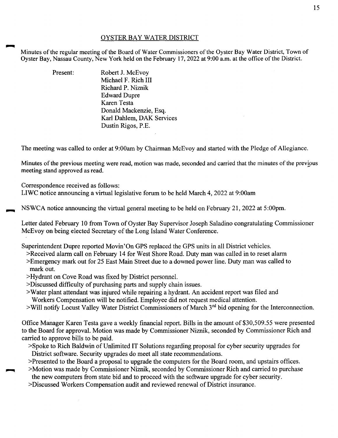## OYSTER BAY WATER DISTRICT

Minutes of the regular meeting of the Board of Water Commissioners of the Oyster Bay Water District, Town of Oyster Bay, Nassau County, New York held on the February 17, 2022 at 9:00a.m. at the office of the District.

| Present: | Robert J. McEvoy          |
|----------|---------------------------|
|          | Michael F. Rich III       |
|          | Richard P. Niznik         |
|          | <b>Edward Dupre</b>       |
|          | Karen Testa               |
|          | Donald Mackenzie, Esq.    |
|          | Karl Dahlem, DAK Services |
|          | Dustin Rigos, P.E.        |

The meeting was called to order at 9:00am by Chairman McEvoy and started with the Pledge of Allegiance.

Minutes of the previous meeting were read, motion was made, seconded and carried that the minutes of the previous meeting stand approved as read.

Correspondence received as follows:

LIWC notice announcing a virtual legislative forum to be held March 4, 2022 at 9:00am

NSWCA notice announcing the virtual general meeting to be held on February 21, 2022 at 5:00pm.

Letter dated February 10 from Town of Oyster Bay Supervisor Joseph Saladino congratulating Commissioner McEvoy on being elected Secretary of the Long Island Water Conference.

Superintendent Dupre reported Movin'On GPS replaced the GPS units in all District vehicles.

>Received alarm call on February 14 for West Shore Road. Duty man was called in to reset alarm

- >Emergency mark out for 25 East Main Street due to a downed power line. Duty man was called to mark out.
- >Hydrant on Cove Road was fixed by District personnel.
- >Discussed difficulty of purchasing parts and supply chain issues.
- >Water plant attendant was injured while repairing a hydrant. An accident report was filed and Workers Compensation will be notified. Employee did not request medical attention.
- $>$ Will notify Locust Valley Water District Commissioners of March  $3<sup>rd</sup>$  bid opening for the Interconnection.

Office Manager Karen Testa gave a weekly financial report. Bills in the amount of \$30,509.55 were presented to the Board for approval. Motion was made by Commissioner Niznik, seconded by Commissioner Rich and carried to approve bills to be paid.

- >Spoke to Rich Baldwin of Unlimited IT Solutions regarding proposal for cyber security upgrades for District software. Security upgrades do meet all state recommendations.
- >Presented to the Board a proposal to upgrade the computers for the Board room, and upstairs offices.
- ~ >Motion was made by Commissioner Niznik, seconded by Commissioner Rich and carried to purchase the new computers from state bid and to proceed with the software upgrade for cyber security.
- >Discussed Workers Compensation audit and reviewed renewal of District insurance.